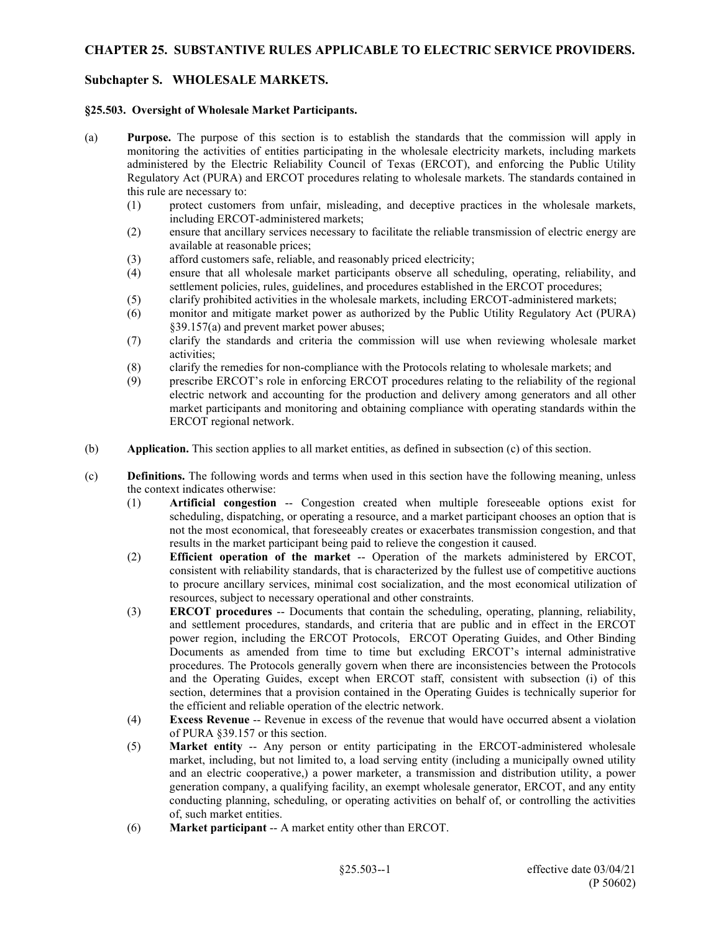## **CHAPTER 25. SUBSTANTIVE RULES APPLICABLE TO ELECTRIC SERVICE PROVIDERS.**

# **Subchapter S. WHOLESALE MARKETS.**

### **§25.503. Oversight of Wholesale Market Participants.**

- (a) **Purpose.** The purpose of this section is to establish the standards that the commission will apply in monitoring the activities of entities participating in the wholesale electricity markets, including markets administered by the Electric Reliability Council of Texas (ERCOT), and enforcing the Public Utility Regulatory Act (PURA) and ERCOT procedures relating to wholesale markets. The standards contained in this rule are necessary to:
	- (1) protect customers from unfair, misleading, and deceptive practices in the wholesale markets, including ERCOT-administered markets;
	- (2) ensure that ancillary services necessary to facilitate the reliable transmission of electric energy are available at reasonable prices;
	- (3) afford customers safe, reliable, and reasonably priced electricity;
	- (4) ensure that all wholesale market participants observe all scheduling, operating, reliability, and settlement policies, rules, guidelines, and procedures established in the ERCOT procedures;
	- (5) clarify prohibited activities in the wholesale markets, including ERCOT-administered markets;
	- (6) monitor and mitigate market power as authorized by the Public Utility Regulatory Act (PURA) §39.157(a) and prevent market power abuses;
	- (7) clarify the standards and criteria the commission will use when reviewing wholesale market activities;
	- (8) clarify the remedies for non-compliance with the Protocols relating to wholesale markets; and
	- (9) prescribe ERCOT's role in enforcing ERCOT procedures relating to the reliability of the regional electric network and accounting for the production and delivery among generators and all other market participants and monitoring and obtaining compliance with operating standards within the ERCOT regional network.
- (b) **Application.** This section applies to all market entities, as defined in subsection (c) of this section.
- (c) **Definitions.** The following words and terms when used in this section have the following meaning, unless the context indicates otherwise:
	- (1) **Artificial congestion** -- Congestion created when multiple foreseeable options exist for scheduling, dispatching, or operating a resource, and a market participant chooses an option that is not the most economical, that foreseeably creates or exacerbates transmission congestion, and that results in the market participant being paid to relieve the congestion it caused.
	- (2) **Efficient operation of the market** -- Operation of the markets administered by ERCOT, consistent with reliability standards, that is characterized by the fullest use of competitive auctions to procure ancillary services, minimal cost socialization, and the most economical utilization of resources, subject to necessary operational and other constraints.
	- (3) **ERCOT procedures** -- Documents that contain the scheduling, operating, planning, reliability, and settlement procedures, standards, and criteria that are public and in effect in the ERCOT power region, including the ERCOT Protocols, ERCOT Operating Guides, and Other Binding Documents as amended from time to time but excluding ERCOT's internal administrative procedures. The Protocols generally govern when there are inconsistencies between the Protocols and the Operating Guides, except when ERCOT staff, consistent with subsection (i) of this section, determines that a provision contained in the Operating Guides is technically superior for the efficient and reliable operation of the electric network.
	- (4) **Excess Revenue** -- Revenue in excess of the revenue that would have occurred absent a violation of PURA §39.157 or this section.
	- (5) **Market entity** -- Any person or entity participating in the ERCOT-administered wholesale market, including, but not limited to, a load serving entity (including a municipally owned utility and an electric cooperative,) a power marketer, a transmission and distribution utility, a power generation company, a qualifying facility, an exempt wholesale generator, ERCOT, and any entity conducting planning, scheduling, or operating activities on behalf of, or controlling the activities of, such market entities.
	- (6) **Market participant** -- A market entity other than ERCOT.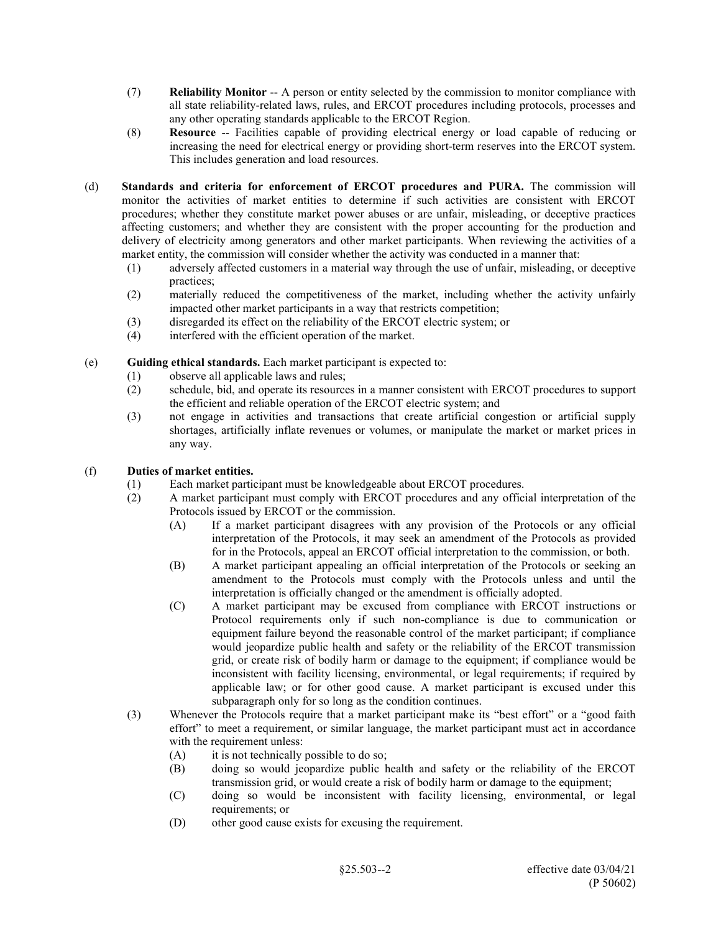- (7) **Reliability Monitor** -- A person or entity selected by the commission to monitor compliance with all state reliability-related laws, rules, and ERCOT procedures including protocols, processes and any other operating standards applicable to the ERCOT Region.
- (8) **Resource** -- Facilities capable of providing electrical energy or load capable of reducing or increasing the need for electrical energy or providing short-term reserves into the ERCOT system. This includes generation and load resources.
- (d) **Standards and criteria for enforcement of ERCOT procedures and PURA.** The commission will monitor the activities of market entities to determine if such activities are consistent with ERCOT procedures; whether they constitute market power abuses or are unfair, misleading, or deceptive practices affecting customers; and whether they are consistent with the proper accounting for the production and delivery of electricity among generators and other market participants. When reviewing the activities of a market entity, the commission will consider whether the activity was conducted in a manner that:
	- (1) adversely affected customers in a material way through the use of unfair, misleading, or deceptive practices;
	- (2) materially reduced the competitiveness of the market, including whether the activity unfairly impacted other market participants in a way that restricts competition;
	- (3) disregarded its effect on the reliability of the ERCOT electric system; or
	- (4) interfered with the efficient operation of the market.
- (e) **Guiding ethical standards.** Each market participant is expected to:
	- (1) observe all applicable laws and rules;
	- (2) schedule, bid, and operate its resources in a manner consistent with ERCOT procedures to support the efficient and reliable operation of the ERCOT electric system; and
	- (3) not engage in activities and transactions that create artificial congestion or artificial supply shortages, artificially inflate revenues or volumes, or manipulate the market or market prices in any way.

## (f) **Duties of market entities.**

- (1) Each market participant must be knowledgeable about ERCOT procedures.
- (2) A market participant must comply with ERCOT procedures and any official interpretation of the Protocols issued by ERCOT or the commission.
	- (A) If a market participant disagrees with any provision of the Protocols or any official interpretation of the Protocols, it may seek an amendment of the Protocols as provided for in the Protocols, appeal an ERCOT official interpretation to the commission, or both.
	- (B) A market participant appealing an official interpretation of the Protocols or seeking an amendment to the Protocols must comply with the Protocols unless and until the interpretation is officially changed or the amendment is officially adopted.
	- (C) A market participant may be excused from compliance with ERCOT instructions or Protocol requirements only if such non-compliance is due to communication or equipment failure beyond the reasonable control of the market participant; if compliance would jeopardize public health and safety or the reliability of the ERCOT transmission grid, or create risk of bodily harm or damage to the equipment; if compliance would be inconsistent with facility licensing, environmental, or legal requirements; if required by applicable law; or for other good cause. A market participant is excused under this subparagraph only for so long as the condition continues.
- (3) Whenever the Protocols require that a market participant make its "best effort" or a "good faith effort" to meet a requirement, or similar language, the market participant must act in accordance with the requirement unless:
	- (A) it is not technically possible to do so;
	- (B) doing so would jeopardize public health and safety or the reliability of the ERCOT transmission grid, or would create a risk of bodily harm or damage to the equipment;
	- (C) doing so would be inconsistent with facility licensing, environmental, or legal requirements; or
	- (D) other good cause exists for excusing the requirement.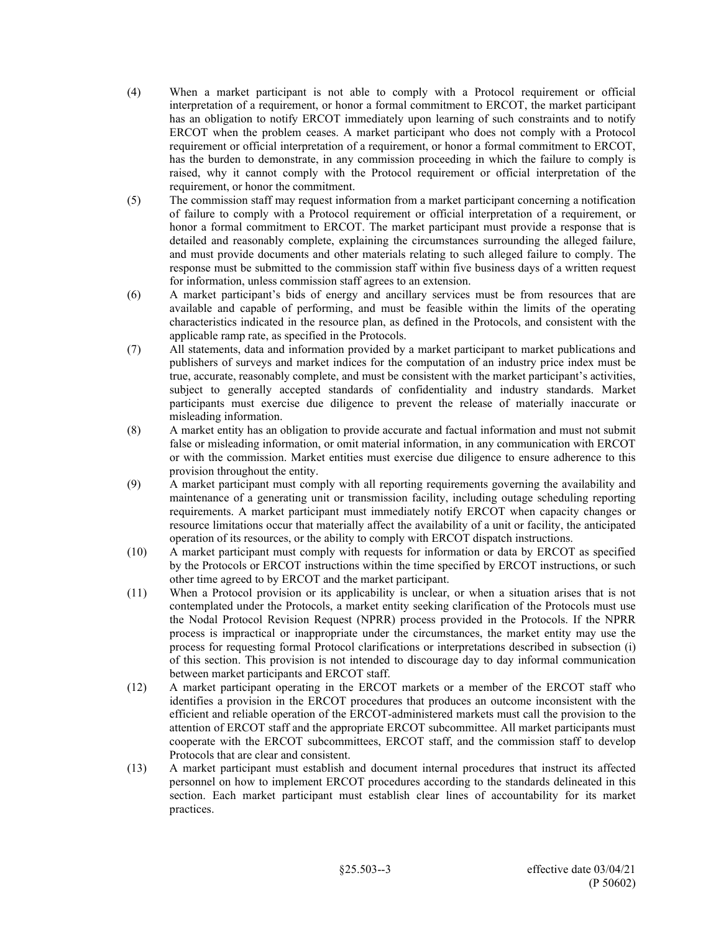- (4) When a market participant is not able to comply with a Protocol requirement or official interpretation of a requirement, or honor a formal commitment to ERCOT, the market participant has an obligation to notify ERCOT immediately upon learning of such constraints and to notify ERCOT when the problem ceases. A market participant who does not comply with a Protocol requirement or official interpretation of a requirement, or honor a formal commitment to ERCOT, has the burden to demonstrate, in any commission proceeding in which the failure to comply is raised, why it cannot comply with the Protocol requirement or official interpretation of the requirement, or honor the commitment.
- (5) The commission staff may request information from a market participant concerning a notification of failure to comply with a Protocol requirement or official interpretation of a requirement, or honor a formal commitment to ERCOT. The market participant must provide a response that is detailed and reasonably complete, explaining the circumstances surrounding the alleged failure, and must provide documents and other materials relating to such alleged failure to comply. The response must be submitted to the commission staff within five business days of a written request for information, unless commission staff agrees to an extension.
- (6) A market participant's bids of energy and ancillary services must be from resources that are available and capable of performing, and must be feasible within the limits of the operating characteristics indicated in the resource plan, as defined in the Protocols, and consistent with the applicable ramp rate, as specified in the Protocols.
- (7) All statements, data and information provided by a market participant to market publications and publishers of surveys and market indices for the computation of an industry price index must be true, accurate, reasonably complete, and must be consistent with the market participant's activities, subject to generally accepted standards of confidentiality and industry standards. Market participants must exercise due diligence to prevent the release of materially inaccurate or misleading information.
- (8) A market entity has an obligation to provide accurate and factual information and must not submit false or misleading information, or omit material information, in any communication with ERCOT or with the commission. Market entities must exercise due diligence to ensure adherence to this provision throughout the entity.
- (9) A market participant must comply with all reporting requirements governing the availability and maintenance of a generating unit or transmission facility, including outage scheduling reporting requirements. A market participant must immediately notify ERCOT when capacity changes or resource limitations occur that materially affect the availability of a unit or facility, the anticipated operation of its resources, or the ability to comply with ERCOT dispatch instructions.
- (10) A market participant must comply with requests for information or data by ERCOT as specified by the Protocols or ERCOT instructions within the time specified by ERCOT instructions, or such other time agreed to by ERCOT and the market participant.
- (11) When a Protocol provision or its applicability is unclear, or when a situation arises that is not contemplated under the Protocols, a market entity seeking clarification of the Protocols must use the Nodal Protocol Revision Request (NPRR) process provided in the Protocols. If the NPRR process is impractical or inappropriate under the circumstances, the market entity may use the process for requesting formal Protocol clarifications or interpretations described in subsection (i) of this section. This provision is not intended to discourage day to day informal communication between market participants and ERCOT staff.
- (12) A market participant operating in the ERCOT markets or a member of the ERCOT staff who identifies a provision in the ERCOT procedures that produces an outcome inconsistent with the efficient and reliable operation of the ERCOT-administered markets must call the provision to the attention of ERCOT staff and the appropriate ERCOT subcommittee. All market participants must cooperate with the ERCOT subcommittees, ERCOT staff, and the commission staff to develop Protocols that are clear and consistent.
- (13) A market participant must establish and document internal procedures that instruct its affected personnel on how to implement ERCOT procedures according to the standards delineated in this section. Each market participant must establish clear lines of accountability for its market practices.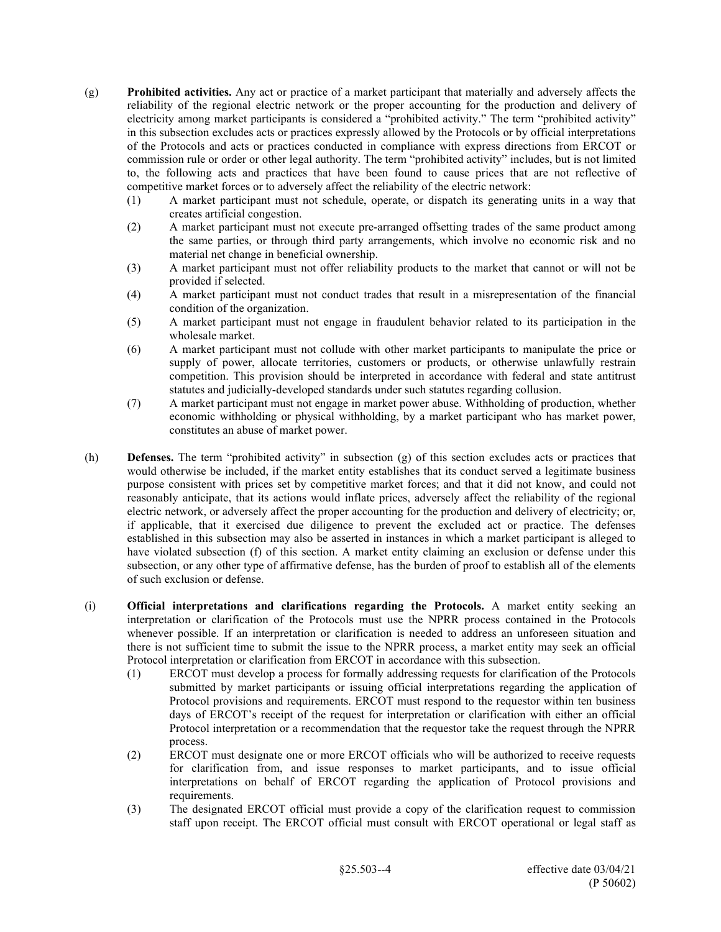- (g) **Prohibited activities.** Any act or practice of a market participant that materially and adversely affects the reliability of the regional electric network or the proper accounting for the production and delivery of electricity among market participants is considered a "prohibited activity." The term "prohibited activity" in this subsection excludes acts or practices expressly allowed by the Protocols or by official interpretations of the Protocols and acts or practices conducted in compliance with express directions from ERCOT or commission rule or order or other legal authority. The term "prohibited activity" includes, but is not limited to, the following acts and practices that have been found to cause prices that are not reflective of competitive market forces or to adversely affect the reliability of the electric network:
	- (1) A market participant must not schedule, operate, or dispatch its generating units in a way that creates artificial congestion.
	- (2) A market participant must not execute pre-arranged offsetting trades of the same product among the same parties, or through third party arrangements, which involve no economic risk and no material net change in beneficial ownership.
	- (3) A market participant must not offer reliability products to the market that cannot or will not be provided if selected.
	- (4) A market participant must not conduct trades that result in a misrepresentation of the financial condition of the organization.
	- (5) A market participant must not engage in fraudulent behavior related to its participation in the wholesale market.
	- (6) A market participant must not collude with other market participants to manipulate the price or supply of power, allocate territories, customers or products, or otherwise unlawfully restrain competition. This provision should be interpreted in accordance with federal and state antitrust statutes and judicially-developed standards under such statutes regarding collusion.
	- (7) A market participant must not engage in market power abuse. Withholding of production, whether economic withholding or physical withholding, by a market participant who has market power, constitutes an abuse of market power.
- (h) **Defenses.** The term "prohibited activity" in subsection (g) of this section excludes acts or practices that would otherwise be included, if the market entity establishes that its conduct served a legitimate business purpose consistent with prices set by competitive market forces; and that it did not know, and could not reasonably anticipate, that its actions would inflate prices, adversely affect the reliability of the regional electric network, or adversely affect the proper accounting for the production and delivery of electricity; or, if applicable, that it exercised due diligence to prevent the excluded act or practice. The defenses established in this subsection may also be asserted in instances in which a market participant is alleged to have violated subsection (f) of this section. A market entity claiming an exclusion or defense under this subsection, or any other type of affirmative defense, has the burden of proof to establish all of the elements of such exclusion or defense.
- (i) **Official interpretations and clarifications regarding the Protocols.** A market entity seeking an interpretation or clarification of the Protocols must use the NPRR process contained in the Protocols whenever possible. If an interpretation or clarification is needed to address an unforeseen situation and there is not sufficient time to submit the issue to the NPRR process, a market entity may seek an official Protocol interpretation or clarification from ERCOT in accordance with this subsection.
	- (1) ERCOT must develop a process for formally addressing requests for clarification of the Protocols submitted by market participants or issuing official interpretations regarding the application of Protocol provisions and requirements. ERCOT must respond to the requestor within ten business days of ERCOT's receipt of the request for interpretation or clarification with either an official Protocol interpretation or a recommendation that the requestor take the request through the NPRR process.
	- (2) ERCOT must designate one or more ERCOT officials who will be authorized to receive requests for clarification from, and issue responses to market participants, and to issue official interpretations on behalf of ERCOT regarding the application of Protocol provisions and requirements.
	- (3) The designated ERCOT official must provide a copy of the clarification request to commission staff upon receipt. The ERCOT official must consult with ERCOT operational or legal staff as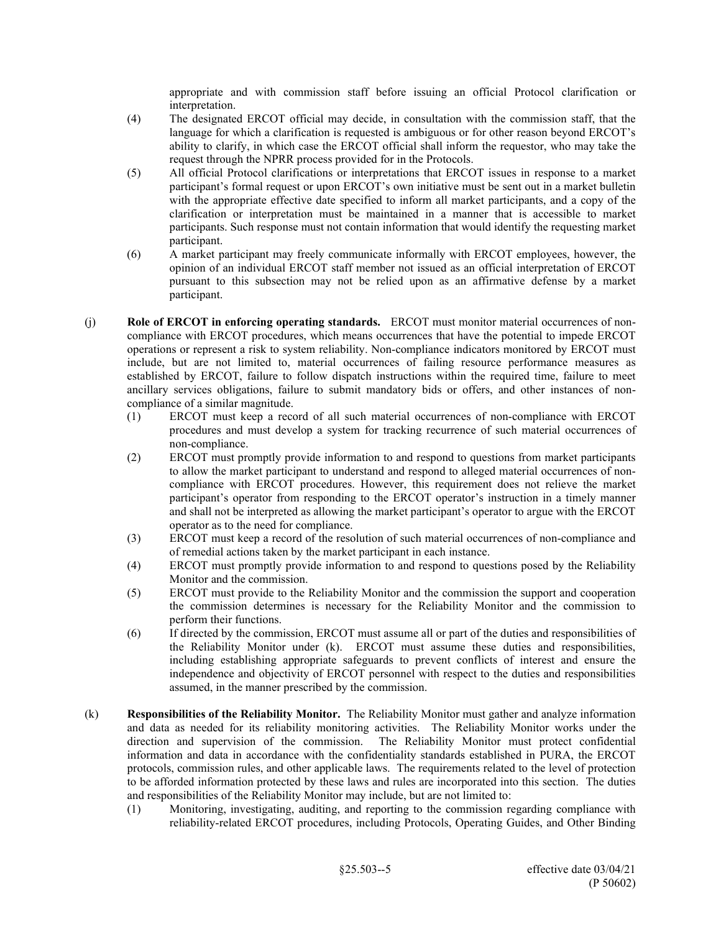appropriate and with commission staff before issuing an official Protocol clarification or interpretation.

- (4) The designated ERCOT official may decide, in consultation with the commission staff, that the language for which a clarification is requested is ambiguous or for other reason beyond ERCOT's ability to clarify, in which case the ERCOT official shall inform the requestor, who may take the request through the NPRR process provided for in the Protocols.
- (5) All official Protocol clarifications or interpretations that ERCOT issues in response to a market participant's formal request or upon ERCOT's own initiative must be sent out in a market bulletin with the appropriate effective date specified to inform all market participants, and a copy of the clarification or interpretation must be maintained in a manner that is accessible to market participants. Such response must not contain information that would identify the requesting market participant.
- (6) A market participant may freely communicate informally with ERCOT employees, however, the opinion of an individual ERCOT staff member not issued as an official interpretation of ERCOT pursuant to this subsection may not be relied upon as an affirmative defense by a market participant.
- (j) **Role of ERCOT in enforcing operating standards.** ERCOT must monitor material occurrences of noncompliance with ERCOT procedures, which means occurrences that have the potential to impede ERCOT operations or represent a risk to system reliability. Non-compliance indicators monitored by ERCOT must include, but are not limited to, material occurrences of failing resource performance measures as established by ERCOT, failure to follow dispatch instructions within the required time, failure to meet ancillary services obligations, failure to submit mandatory bids or offers, and other instances of noncompliance of a similar magnitude.
	- (1) ERCOT must keep a record of all such material occurrences of non-compliance with ERCOT procedures and must develop a system for tracking recurrence of such material occurrences of non-compliance.
	- (2) ERCOT must promptly provide information to and respond to questions from market participants to allow the market participant to understand and respond to alleged material occurrences of noncompliance with ERCOT procedures. However, this requirement does not relieve the market participant's operator from responding to the ERCOT operator's instruction in a timely manner and shall not be interpreted as allowing the market participant's operator to argue with the ERCOT operator as to the need for compliance.
	- (3) ERCOT must keep a record of the resolution of such material occurrences of non-compliance and of remedial actions taken by the market participant in each instance.
	- (4) ERCOT must promptly provide information to and respond to questions posed by the Reliability Monitor and the commission.
	- (5) ERCOT must provide to the Reliability Monitor and the commission the support and cooperation the commission determines is necessary for the Reliability Monitor and the commission to perform their functions.
	- (6) If directed by the commission, ERCOT must assume all or part of the duties and responsibilities of the Reliability Monitor under (k). ERCOT must assume these duties and responsibilities, including establishing appropriate safeguards to prevent conflicts of interest and ensure the independence and objectivity of ERCOT personnel with respect to the duties and responsibilities assumed, in the manner prescribed by the commission.
- (k) **Responsibilities of the Reliability Monitor.** The Reliability Monitor must gather and analyze information and data as needed for its reliability monitoring activities. The Reliability Monitor works under the direction and supervision of the commission. The Reliability Monitor must protect confidential information and data in accordance with the confidentiality standards established in PURA, the ERCOT protocols, commission rules, and other applicable laws. The requirements related to the level of protection to be afforded information protected by these laws and rules are incorporated into this section. The duties and responsibilities of the Reliability Monitor may include, but are not limited to:
	- (1) Monitoring, investigating, auditing, and reporting to the commission regarding compliance with reliability-related ERCOT procedures, including Protocols, Operating Guides, and Other Binding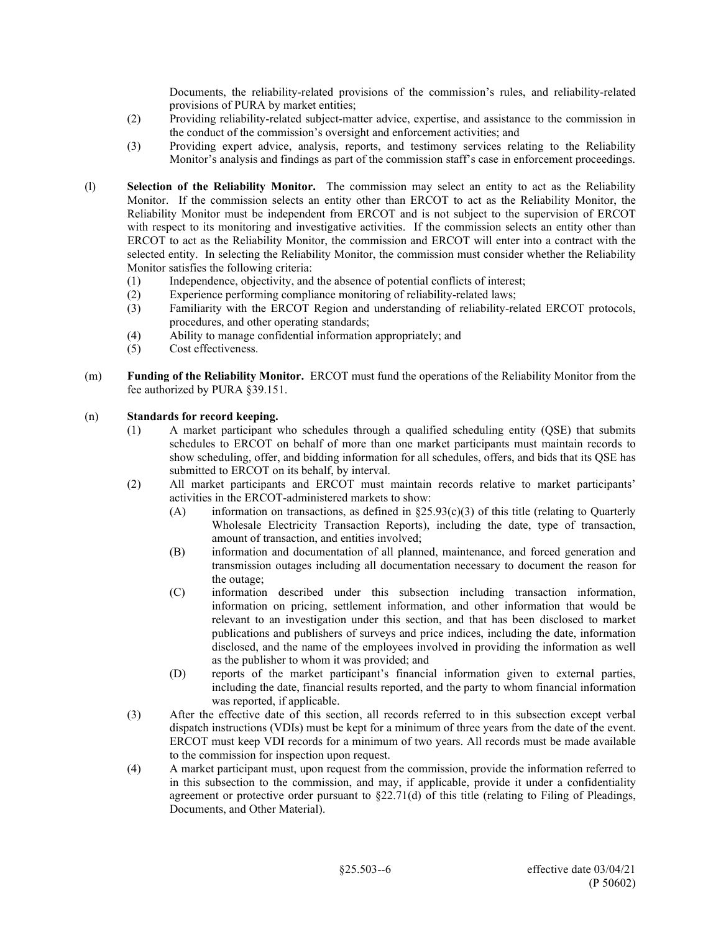Documents, the reliability-related provisions of the commission's rules, and reliability-related provisions of PURA by market entities;

- (2) Providing reliability-related subject-matter advice, expertise, and assistance to the commission in the conduct of the commission's oversight and enforcement activities; and
- (3) Providing expert advice, analysis, reports, and testimony services relating to the Reliability Monitor's analysis and findings as part of the commission staff's case in enforcement proceedings.
- (l) **Selection of the Reliability Monitor.** The commission may select an entity to act as the Reliability Monitor. If the commission selects an entity other than ERCOT to act as the Reliability Monitor, the Reliability Monitor must be independent from ERCOT and is not subject to the supervision of ERCOT with respect to its monitoring and investigative activities. If the commission selects an entity other than ERCOT to act as the Reliability Monitor, the commission and ERCOT will enter into a contract with the selected entity. In selecting the Reliability Monitor, the commission must consider whether the Reliability Monitor satisfies the following criteria:
	- (1) Independence, objectivity, and the absence of potential conflicts of interest;
	- (2) Experience performing compliance monitoring of reliability-related laws;
	- (3) Familiarity with the ERCOT Region and understanding of reliability-related ERCOT protocols, procedures, and other operating standards;
	- (4) Ability to manage confidential information appropriately; and
	- (5) Cost effectiveness.
- (m) **Funding of the Reliability Monitor.** ERCOT must fund the operations of the Reliability Monitor from the fee authorized by PURA §39.151.

#### (n) **Standards for record keeping.**

- (1) A market participant who schedules through a qualified scheduling entity (QSE) that submits schedules to ERCOT on behalf of more than one market participants must maintain records to show scheduling, offer, and bidding information for all schedules, offers, and bids that its QSE has submitted to ERCOT on its behalf, by interval.
- (2) All market participants and ERCOT must maintain records relative to market participants' activities in the ERCOT-administered markets to show:
	- (A) information on transactions, as defined in  $\S 25.93(c)(3)$  of this title (relating to Quarterly Wholesale Electricity Transaction Reports), including the date, type of transaction, amount of transaction, and entities involved;
	- (B) information and documentation of all planned, maintenance, and forced generation and transmission outages including all documentation necessary to document the reason for the outage;
	- (C) information described under this subsection including transaction information, information on pricing, settlement information, and other information that would be relevant to an investigation under this section, and that has been disclosed to market publications and publishers of surveys and price indices, including the date, information disclosed, and the name of the employees involved in providing the information as well as the publisher to whom it was provided; and
	- (D) reports of the market participant's financial information given to external parties, including the date, financial results reported, and the party to whom financial information was reported, if applicable.
- (3) After the effective date of this section, all records referred to in this subsection except verbal dispatch instructions (VDIs) must be kept for a minimum of three years from the date of the event. ERCOT must keep VDI records for a minimum of two years. All records must be made available to the commission for inspection upon request.
- (4) A market participant must, upon request from the commission, provide the information referred to in this subsection to the commission, and may, if applicable, provide it under a confidentiality agreement or protective order pursuant to  $\S22.71(d)$  of this title (relating to Filing of Pleadings, Documents, and Other Material).